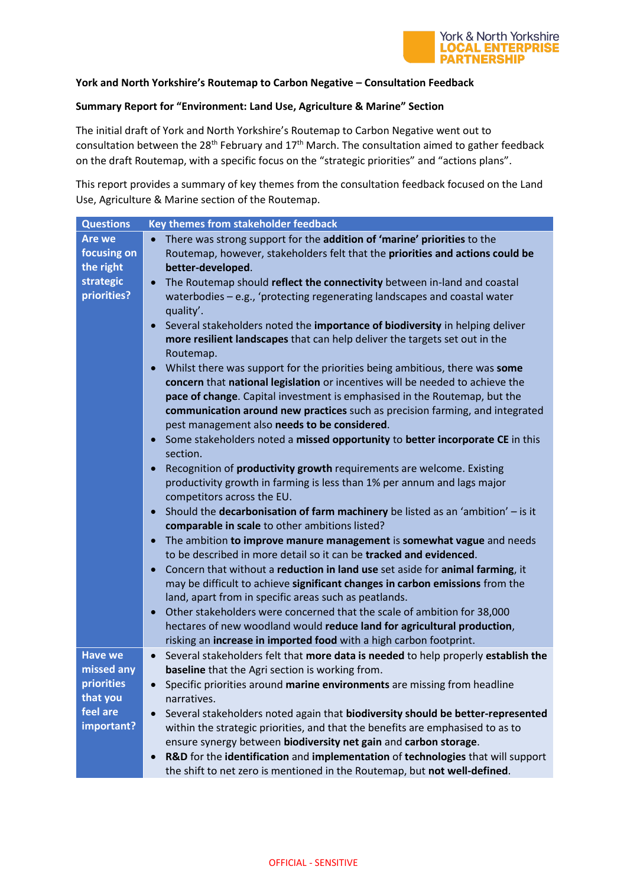

## **York and North Yorkshire's Routemap to Carbon Negative – Consultation Feedback**

## **Summary Report for "Environment: Land Use, Agriculture & Marine" Section**

The initial draft of York and North Yorkshire's Routemap to Carbon Negative went out to consultation between the 28<sup>th</sup> February and  $17<sup>th</sup>$  March. The consultation aimed to gather feedback on the draft Routemap, with a specific focus on the "strategic priorities" and "actions plans".

This report provides a summary of key themes from the consultation feedback focused on the Land Use, Agriculture & Marine section of the Routemap.

| <b>Questions</b>                                       | Key themes from stakeholder feedback                                                                                                                                                                                                                                                                                                   |
|--------------------------------------------------------|----------------------------------------------------------------------------------------------------------------------------------------------------------------------------------------------------------------------------------------------------------------------------------------------------------------------------------------|
| <b>Are we</b><br>focusing on<br>the right              | There was strong support for the addition of 'marine' priorities to the<br>$\bullet$<br>Routemap, however, stakeholders felt that the priorities and actions could be<br>better-developed.                                                                                                                                             |
| strategic<br>priorities?                               | The Routemap should reflect the connectivity between in-land and coastal<br>waterbodies - e.g., 'protecting regenerating landscapes and coastal water<br>quality'.<br>Several stakeholders noted the importance of biodiversity in helping deliver<br>more resilient landscapes that can help deliver the targets set out in the       |
|                                                        | Routemap.<br>Whilst there was support for the priorities being ambitious, there was some<br>concern that national legislation or incentives will be needed to achieve the<br>pace of change. Capital investment is emphasised in the Routemap, but the<br>communication around new practices such as precision farming, and integrated |
|                                                        | pest management also needs to be considered.<br>Some stakeholders noted a missed opportunity to better incorporate CE in this<br>section.                                                                                                                                                                                              |
|                                                        | Recognition of productivity growth requirements are welcome. Existing<br>productivity growth in farming is less than 1% per annum and lags major<br>competitors across the EU.                                                                                                                                                         |
|                                                        | Should the <b>decarbonisation of farm machinery</b> be listed as an 'ambition' $-$ is it<br>$\bullet$<br>comparable in scale to other ambitions listed?<br>The ambition to improve manure management is somewhat vague and needs                                                                                                       |
|                                                        | to be described in more detail so it can be tracked and evidenced.<br>Concern that without a reduction in land use set aside for animal farming, it                                                                                                                                                                                    |
|                                                        | may be difficult to achieve significant changes in carbon emissions from the<br>land, apart from in specific areas such as peatlands.                                                                                                                                                                                                  |
|                                                        | Other stakeholders were concerned that the scale of ambition for 38,000<br>$\bullet$<br>hectares of new woodland would reduce land for agricultural production,<br>risking an increase in imported food with a high carbon footprint.                                                                                                  |
| <b>Have we</b><br>missed any<br>priorities<br>that you | Several stakeholders felt that more data is needed to help properly establish the<br>baseline that the Agri section is working from.<br>Specific priorities around marine environments are missing from headline<br>narratives.                                                                                                        |
| feel are<br>important?                                 | Several stakeholders noted again that biodiversity should be better-represented<br>within the strategic priorities, and that the benefits are emphasised to as to<br>ensure synergy between biodiversity net gain and carbon storage.<br>R&D for the identification and implementation of technologies that will support               |
|                                                        | the shift to net zero is mentioned in the Routemap, but not well-defined.                                                                                                                                                                                                                                                              |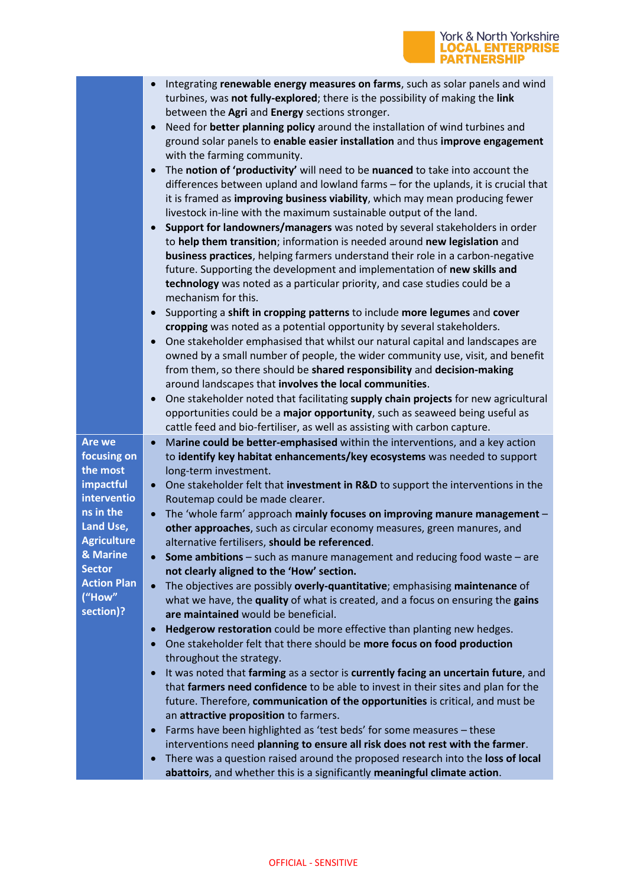

|                           | Integrating renewable energy measures on farms, such as solar panels and wind                                                                                             |
|---------------------------|---------------------------------------------------------------------------------------------------------------------------------------------------------------------------|
|                           | turbines, was not fully-explored; there is the possibility of making the link<br>between the Agri and Energy sections stronger.                                           |
|                           | Need for better planning policy around the installation of wind turbines and<br>$\bullet$                                                                                 |
|                           | ground solar panels to enable easier installation and thus improve engagement                                                                                             |
|                           | with the farming community.                                                                                                                                               |
|                           | The notion of 'productivity' will need to be nuanced to take into account the<br>$\bullet$                                                                                |
|                           | differences between upland and lowland farms - for the uplands, it is crucial that                                                                                        |
|                           | it is framed as improving business viability, which may mean producing fewer                                                                                              |
|                           | livestock in-line with the maximum sustainable output of the land.                                                                                                        |
|                           | Support for landowners/managers was noted by several stakeholders in order                                                                                                |
|                           | to help them transition; information is needed around new legislation and                                                                                                 |
|                           | business practices, helping farmers understand their role in a carbon-negative                                                                                            |
|                           | future. Supporting the development and implementation of new skills and                                                                                                   |
|                           | technology was noted as a particular priority, and case studies could be a                                                                                                |
|                           | mechanism for this.                                                                                                                                                       |
|                           | Supporting a shift in cropping patterns to include more legumes and cover                                                                                                 |
|                           | cropping was noted as a potential opportunity by several stakeholders.                                                                                                    |
|                           | One stakeholder emphasised that whilst our natural capital and landscapes are<br>$\bullet$                                                                                |
|                           | owned by a small number of people, the wider community use, visit, and benefit<br>from them, so there should be shared responsibility and decision-making                 |
|                           | around landscapes that involves the local communities.                                                                                                                    |
|                           | One stakeholder noted that facilitating supply chain projects for new agricultural<br>$\bullet$                                                                           |
|                           | opportunities could be a major opportunity, such as seaweed being useful as                                                                                               |
|                           | cattle feed and bio-fertiliser, as well as assisting with carbon capture.                                                                                                 |
|                           |                                                                                                                                                                           |
| Are we                    | Marine could be better-emphasised within the interventions, and a key action<br>$\bullet$                                                                                 |
| focusing on               | to identify key habitat enhancements/key ecosystems was needed to support                                                                                                 |
| the most                  | long-term investment.                                                                                                                                                     |
| impactful                 | One stakeholder felt that investment in R&D to support the interventions in the                                                                                           |
| interventio               | Routemap could be made clearer.                                                                                                                                           |
| ns in the                 | The 'whole farm' approach mainly focuses on improving manure management -                                                                                                 |
| Land Use,                 | other approaches, such as circular economy measures, green manures, and                                                                                                   |
| <b>Agriculture</b>        | alternative fertilisers, should be referenced.                                                                                                                            |
| & Marine<br><b>Sector</b> | <b>Some ambitions</b> – such as manure management and reducing food waste – are                                                                                           |
| <b>Action Plan</b>        | not clearly aligned to the 'How' section.                                                                                                                                 |
| ("How"                    | The objectives are possibly overly-quantitative; emphasising maintenance of                                                                                               |
| section)?                 | what we have, the quality of what is created, and a focus on ensuring the gains<br>are maintained would be beneficial.                                                    |
|                           | Hedgerow restoration could be more effective than planting new hedges.                                                                                                    |
|                           | One stakeholder felt that there should be more focus on food production                                                                                                   |
|                           | throughout the strategy.                                                                                                                                                  |
|                           | It was noted that farming as a sector is currently facing an uncertain future, and                                                                                        |
|                           | that farmers need confidence to be able to invest in their sites and plan for the                                                                                         |
|                           | future. Therefore, communication of the opportunities is critical, and must be                                                                                            |
|                           | an attractive proposition to farmers.                                                                                                                                     |
|                           | Farms have been highlighted as 'test beds' for some measures - these<br>$\bullet$                                                                                         |
|                           | interventions need planning to ensure all risk does not rest with the farmer.                                                                                             |
|                           | There was a question raised around the proposed research into the loss of local<br>$\bullet$<br>abattoirs, and whether this is a significantly meaningful climate action. |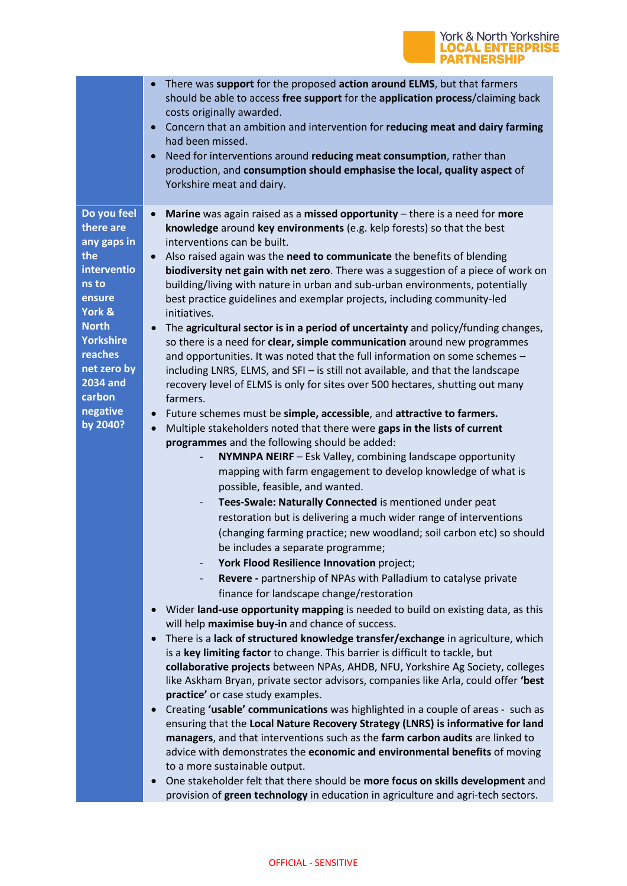

|                                                                                                                                                                                                               | There was support for the proposed action around ELMS, but that farmers<br>should be able to access free support for the application process/claiming back<br>costs originally awarded.<br>Concern that an ambition and intervention for reducing meat and dairy farming<br>had been missed.<br>Need for interventions around reducing meat consumption, rather than<br>production, and consumption should emphasise the local, quality aspect of<br>Yorkshire meat and dairy.                                                                                                                                                                                                                                                                                                                                                                                                                                                                                                                                                                                                                                                                                                                                                                                                                                                                                                                                                                                                                                                                                                                                                                                                                                                                                                                                                                                                                                                                                                                                                                                                                                                                                                                                                                                                                                                                                                                                                                                                                                                                                                                                                                                                                                                                                                                                                                                                |
|---------------------------------------------------------------------------------------------------------------------------------------------------------------------------------------------------------------|-------------------------------------------------------------------------------------------------------------------------------------------------------------------------------------------------------------------------------------------------------------------------------------------------------------------------------------------------------------------------------------------------------------------------------------------------------------------------------------------------------------------------------------------------------------------------------------------------------------------------------------------------------------------------------------------------------------------------------------------------------------------------------------------------------------------------------------------------------------------------------------------------------------------------------------------------------------------------------------------------------------------------------------------------------------------------------------------------------------------------------------------------------------------------------------------------------------------------------------------------------------------------------------------------------------------------------------------------------------------------------------------------------------------------------------------------------------------------------------------------------------------------------------------------------------------------------------------------------------------------------------------------------------------------------------------------------------------------------------------------------------------------------------------------------------------------------------------------------------------------------------------------------------------------------------------------------------------------------------------------------------------------------------------------------------------------------------------------------------------------------------------------------------------------------------------------------------------------------------------------------------------------------------------------------------------------------------------------------------------------------------------------------------------------------------------------------------------------------------------------------------------------------------------------------------------------------------------------------------------------------------------------------------------------------------------------------------------------------------------------------------------------------------------------------------------------------------------------------------------------------|
| Do you feel<br>there are<br>any gaps in<br>the<br>interventio<br>ns to<br>ensure<br>York &<br><b>North</b><br><b>Yorkshire</b><br>reaches<br>net zero by<br><b>2034 and</b><br>carbon<br>negative<br>by 2040? | Marine was again raised as a missed opportunity - there is a need for more<br>$\bullet$<br>knowledge around key environments (e.g. kelp forests) so that the best<br>interventions can be built.<br>Also raised again was the need to communicate the benefits of blending<br>biodiversity net gain with net zero. There was a suggestion of a piece of work on<br>building/living with nature in urban and sub-urban environments, potentially<br>best practice guidelines and exemplar projects, including community-led<br>initiatives.<br>The agricultural sector is in a period of uncertainty and policy/funding changes,<br>so there is a need for clear, simple communication around new programmes<br>and opportunities. It was noted that the full information on some schemes -<br>including LNRS, ELMS, and SFI - is still not available, and that the landscape<br>recovery level of ELMS is only for sites over 500 hectares, shutting out many<br>farmers.<br>Future schemes must be simple, accessible, and attractive to farmers.<br>$\bullet$<br>Multiple stakeholders noted that there were gaps in the lists of current<br>$\bullet$<br>programmes and the following should be added:<br>NYMNPA NEIRF - Esk Valley, combining landscape opportunity<br>mapping with farm engagement to develop knowledge of what is<br>possible, feasible, and wanted.<br>Tees-Swale: Naturally Connected is mentioned under peat<br>$\overline{\phantom{0}}$<br>restoration but is delivering a much wider range of interventions<br>(changing farming practice; new woodland; soil carbon etc) so should<br>be includes a separate programme;<br>York Flood Resilience Innovation project;<br>$\qquad \qquad \blacksquare$<br>Revere - partnership of NPAs with Palladium to catalyse private<br>$\qquad \qquad -$<br>finance for landscape change/restoration<br>Wider land-use opportunity mapping is needed to build on existing data, as this<br>$\bullet$<br>will help maximise buy-in and chance of success.<br>There is a lack of structured knowledge transfer/exchange in agriculture, which<br>is a key limiting factor to change. This barrier is difficult to tackle, but<br>collaborative projects between NPAs, AHDB, NFU, Yorkshire Ag Society, colleges<br>like Askham Bryan, private sector advisors, companies like Arla, could offer 'best<br>practice' or case study examples.<br>Creating 'usable' communications was highlighted in a couple of areas - such as<br>$\bullet$<br>ensuring that the Local Nature Recovery Strategy (LNRS) is informative for land<br>managers, and that interventions such as the farm carbon audits are linked to<br>advice with demonstrates the economic and environmental benefits of moving<br>to a more sustainable output.<br>One stakeholder felt that there should be more focus on skills development and |
|                                                                                                                                                                                                               | provision of green technology in education in agriculture and agri-tech sectors.                                                                                                                                                                                                                                                                                                                                                                                                                                                                                                                                                                                                                                                                                                                                                                                                                                                                                                                                                                                                                                                                                                                                                                                                                                                                                                                                                                                                                                                                                                                                                                                                                                                                                                                                                                                                                                                                                                                                                                                                                                                                                                                                                                                                                                                                                                                                                                                                                                                                                                                                                                                                                                                                                                                                                                                              |